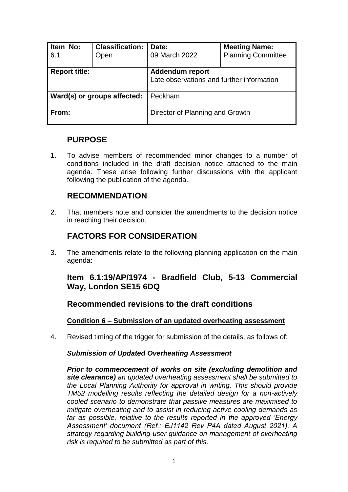| Item No:<br>6.1             | <b>Classification:</b><br>Open | Date:<br>09 March 2022                                              | <b>Meeting Name:</b><br><b>Planning Committee</b> |
|-----------------------------|--------------------------------|---------------------------------------------------------------------|---------------------------------------------------|
| <b>Report title:</b>        |                                | <b>Addendum report</b><br>Late observations and further information |                                                   |
| Ward(s) or groups affected: |                                | Peckham                                                             |                                                   |
| From:                       |                                | Director of Planning and Growth                                     |                                                   |

## **PURPOSE**

1. To advise members of recommended minor changes to a number of conditions included in the draft decision notice attached to the main agenda. These arise following further discussions with the applicant following the publication of the agenda.

# **RECOMMENDATION**

2. That members note and consider the amendments to the decision notice in reaching their decision.

# **FACTORS FOR CONSIDERATION**

3. The amendments relate to the following planning application on the main agenda:

## **Item 6.1:19/AP/1974 - Bradfield Club, 5-13 Commercial Way, London SE15 6DQ**

## **Recommended revisions to the draft conditions**

## **Condition 6 – Submission of an updated overheating assessment**

4. Revised timing of the trigger for submission of the details, as follows of:

## *Submission of Updated Overheating Assessment*

*Prior to commencement of works on site (excluding demolition and site clearance) an updated overheating assessment shall be submitted to the Local Planning Authority for approval in writing. This should provide TM52 modelling results reflecting the detailed design for a non-actively cooled scenario to demonstrate that passive measures are maximised to mitigate overheating and to assist in reducing active cooling demands as far as possible, relative to the results reported in the approved 'Energy Assessment' document (Ref.: EJ1142 Rev P4A dated August 2021). A strategy regarding building-user guidance on management of overheating risk is required to be submitted as part of this.*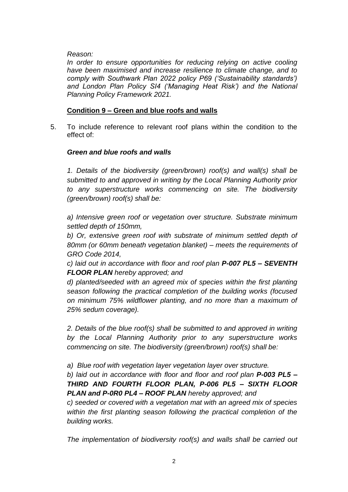*Reason:* 

In order to ensure opportunities for reducing relying on active cooling *have been maximised and increase resilience to climate change, and to comply with Southwark Plan 2022 policy P69 ('Sustainability standards')*  and London Plan Policy SI4 ('Managing Heat Risk') and the National *Planning Policy Framework 2021.* 

## **Condition 9 – Green and blue roofs and walls**

5. To include reference to relevant roof plans within the condition to the effect of:

## *Green and blue roofs and walls*

*1. Details of the biodiversity (green/brown) roof(s) and wall(s) shall be submitted to and approved in writing by the Local Planning Authority prior to any superstructure works commencing on site. The biodiversity (green/brown) roof(s) shall be:*

*a) Intensive green roof or vegetation over structure. Substrate minimum settled depth of 150mm,* 

*b) Or, extensive green roof with substrate of minimum settled depth of 80mm (or 60mm beneath vegetation blanket) – meets the requirements of GRO Code 2014,*

*c) laid out in accordance with floor and roof plan P-007 PL5 – SEVENTH FLOOR PLAN hereby approved; and*

*d) planted/seeded with an agreed mix of species within the first planting season following the practical completion of the building works (focused on minimum 75% wildflower planting, and no more than a maximum of 25% sedum coverage).*

*2. Details of the blue roof(s) shall be submitted to and approved in writing by the Local Planning Authority prior to any superstructure works commencing on site. The biodiversity (green/brown) roof(s) shall be:*

*a) Blue roof with vegetation layer vegetation layer over structure.* 

*b) laid out in accordance with floor and floor and roof plan P-003 PL5 – THIRD AND FOURTH FLOOR PLAN, P-006 PL5 – SIXTH FLOOR PLAN and P-0R0 PL4 – ROOF PLAN hereby approved; and* 

*c) seeded or covered with a vegetation mat with an agreed mix of species within the first planting season following the practical completion of the building works.*

*The implementation of biodiversity roof(s) and walls shall be carried out*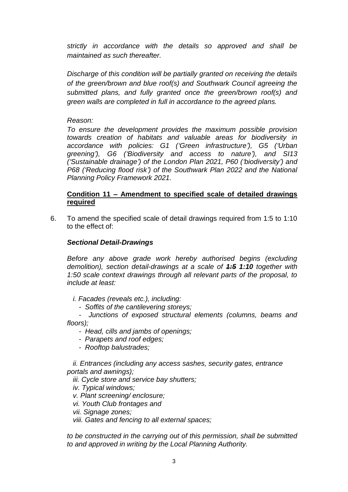*strictly in accordance with the details so approved and shall be maintained as such thereafter.* 

*Discharge of this condition will be partially granted on receiving the details of the green/brown and blue roof(s) and Southwark Council agreeing the submitted plans, and fully granted once the green/brown roof(s) and green walls are completed in full in accordance to the agreed plans.* 

*Reason:*

*To ensure the development provides the maximum possible provision towards creation of habitats and valuable areas for biodiversity in accordance with policies: G1 ('Green infrastructure'), G5 ('Urban greening'), G6 ('Biodiversity and access to nature'), and SI13 ('Sustainable drainage') of the London Plan 2021, P60 ('biodiversity') and P68 ('Reducing flood risk') of the Southwark Plan 2022 and the National Planning Policy Framework 2021.* 

### **Condition 11 – Amendment to specified scale of detailed drawings required**

6. To amend the specified scale of detail drawings required from 1:5 to 1:10 to the effect of:

### *Sectional Detail-Drawings*

*Before any above grade work hereby authorised begins (excluding demolition), section detail-drawings at a scale of 1:5 1:10 together with 1:50 scale context drawings through all relevant parts of the proposal, to include at least:*

 *i. Facades (reveals etc.), including:*

 *- Soffits of the cantilevering storeys;*

 *- Junctions of exposed structural elements (columns, beams and floors);*

- *Head, cills and jambs of openings;*
- *Parapets and roof edges;*
- *Rooftop balustrades;*

 *ii. Entrances (including any access sashes, security gates, entrance portals and awnings);*

 *iii. Cycle store and service bay shutters;*

 *iv. Typical windows;*

 *v. Plant screening/ enclosure;*

 *vi. Youth Club frontages and*

 *vii. Signage zones;*

 *viii. Gates and fencing to all external spaces;*

*to be constructed in the carrying out of this permission, shall be submitted to and approved in writing by the Local Planning Authority.*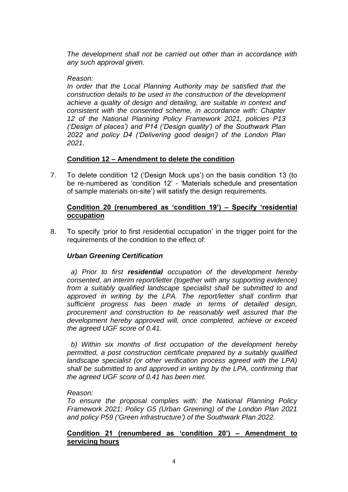*The development shall not be carried out other than in accordance with any such approval given.* 

#### *Reason:*

*In order that the Local Planning Authority may be satisfied that the construction details to be used in the construction of the development achieve a quality of design and detailing, are suitable in context and consistent with the consented scheme, in accordance with: Chapter 12 of the National Planning Policy Framework 2021, policies P13 ('Design of places') and P14 ('Design quality') of the Southwark Plan 2022 and policy D4 ('Delivering good design') of the London Plan 2021.*

#### **Condition 12 – Amendment to delete the condition**

7. To delete condition 12 ('Design Mock ups') on the basis condition 13 (to be re-numbered as 'condition 12' - 'Materials schedule and presentation of sample materials on-site') will satisfy the design requirements.

#### **Condition 20 (renumbered as 'condition 19') – Specify 'residential occupation**

8. To specify 'prior to first residential occupation' in the trigger point for the requirements of the condition to the effect of:

#### *Urban Greening Certification*

 *a) Prior to first residential occupation of the development hereby consented, an interim report/letter (together with any supporting evidence) from a suitably qualified landscape specialist shall be submitted to and approved in writing by the LPA. The report/letter shall confirm that sufficient progress has been made in terms of detailed design, procurement and construction to be reasonably well assured that the development hereby approved will, once completed, achieve or exceed the agreed UGF score of 0.41.*

 *b) Within six months of first occupation of the development hereby permitted, a post construction certificate prepared by a suitably qualified landscape specialist (or other verification process agreed with the LPA) shall be submitted to and approved in writing by the LPA, confirming that the agreed UGF score of 0.41 has been met.*

#### *Reason:*

*To ensure the proposal complies with: the National Planning Policy Framework 2021; Policy G5 (Urban Greening) of the London Plan 2021 and policy P59 ('Green infrastructure') of the Southwark Plan 2022.* 

#### **Condition 21 (renumbered as 'condition 20') – Amendment to servicing hours**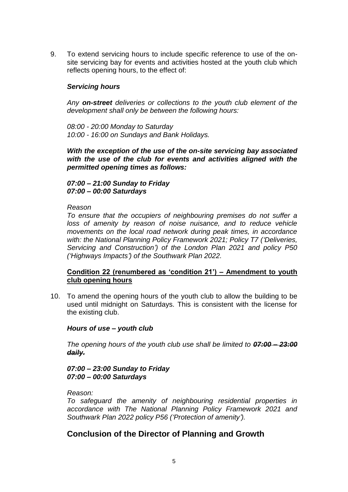9. To extend servicing hours to include specific reference to use of the onsite servicing bay for events and activities hosted at the youth club which reflects opening hours, to the effect of:

#### *Servicing hours*

*Any on-street deliveries or collections to the youth club element of the development shall only be between the following hours:*

*08:00 - 20:00 Monday to Saturday 10:00 - 16:00 on Sundays and Bank Holidays.*

*With the exception of the use of the on-site servicing bay associated with the use of the club for events and activities aligned with the permitted opening times as follows:*

*07:00 – 21:00 Sunday to Friday 07:00 – 00:00 Saturdays*

*Reason*

*To ensure that the occupiers of neighbouring premises do not suffer a*  loss of amenity by reason of noise nuisance, and to reduce vehicle *movements on the local road network during peak times, in accordance with: the National Planning Policy Framework 2021; Policy T7 ('Deliveries, Servicing and Construction') of the London Plan 2021 and policy P50 ('Highways Impacts') of the Southwark Plan 2022.*

#### **Condition 22 (renumbered as 'condition 21') – Amendment to youth club opening hours**

10. To amend the opening hours of the youth club to allow the building to be used until midnight on Saturdays. This is consistent with the license for the existing club.

#### *Hours of use – youth club*

*The opening hours of the youth club use shall be limited to 07:00 – 23:00 daily.*

*07:00 – 23:00 Sunday to Friday 07:00 – 00:00 Saturdays*

*Reason:*

*To safeguard the amenity of neighbouring residential properties in accordance with The National Planning Policy Framework 2021 and Southwark Plan 2022 policy P56 ('Protection of amenity').*

## **Conclusion of the Director of Planning and Growth**